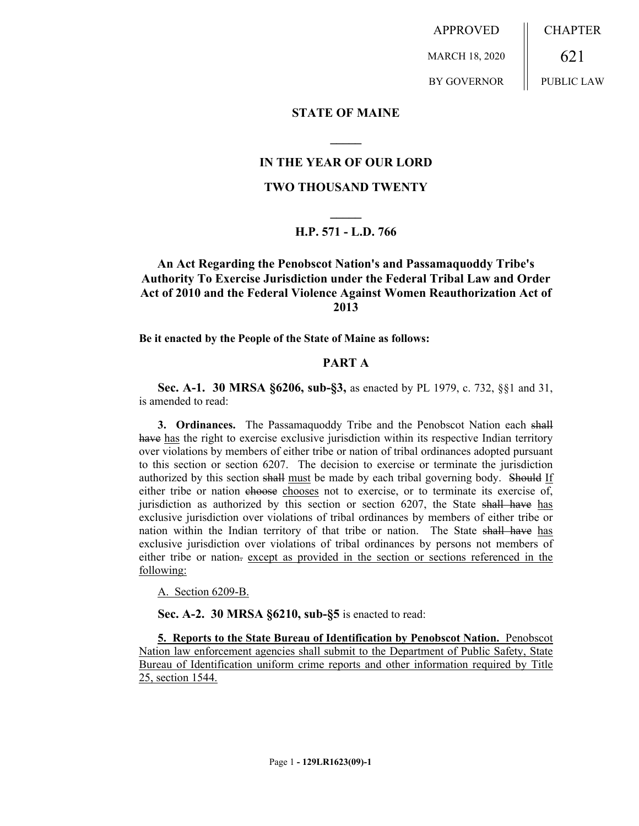APPROVED MARCH 18, 2020 BY GOVERNOR CHAPTER 621 PUBLIC LAW

**STATE OF MAINE**

## **IN THE YEAR OF OUR LORD**

**\_\_\_\_\_**

#### **TWO THOUSAND TWENTY**

# **\_\_\_\_\_ H.P. 571 - L.D. 766**

## **An Act Regarding the Penobscot Nation's and Passamaquoddy Tribe's Authority To Exercise Jurisdiction under the Federal Tribal Law and Order Act of 2010 and the Federal Violence Against Women Reauthorization Act of 2013**

**Be it enacted by the People of the State of Maine as follows:**

#### **PART A**

**Sec. A-1. 30 MRSA §6206, sub-§3,** as enacted by PL 1979, c. 732, §§1 and 31, is amended to read:

**3. Ordinances.** The Passamaquoddy Tribe and the Penobscot Nation each shall have has the right to exercise exclusive jurisdiction within its respective Indian territory over violations by members of either tribe or nation of tribal ordinances adopted pursuant to this section or section 6207. The decision to exercise or terminate the jurisdiction authorized by this section shall must be made by each tribal governing body. Should If either tribe or nation choose chooses not to exercise, or to terminate its exercise of, jurisdiction as authorized by this section or section 6207, the State shall have has exclusive jurisdiction over violations of tribal ordinances by members of either tribe or nation within the Indian territory of that tribe or nation. The State shall have has exclusive jurisdiction over violations of tribal ordinances by persons not members of either tribe or nation. except as provided in the section or sections referenced in the following:

A. Section 6209-B.

**Sec. A-2. 30 MRSA §6210, sub-§5** is enacted to read:

**5. Reports to the State Bureau of Identification by Penobscot Nation.** Penobscot Nation law enforcement agencies shall submit to the Department of Public Safety, State Bureau of Identification uniform crime reports and other information required by Title 25, section 1544.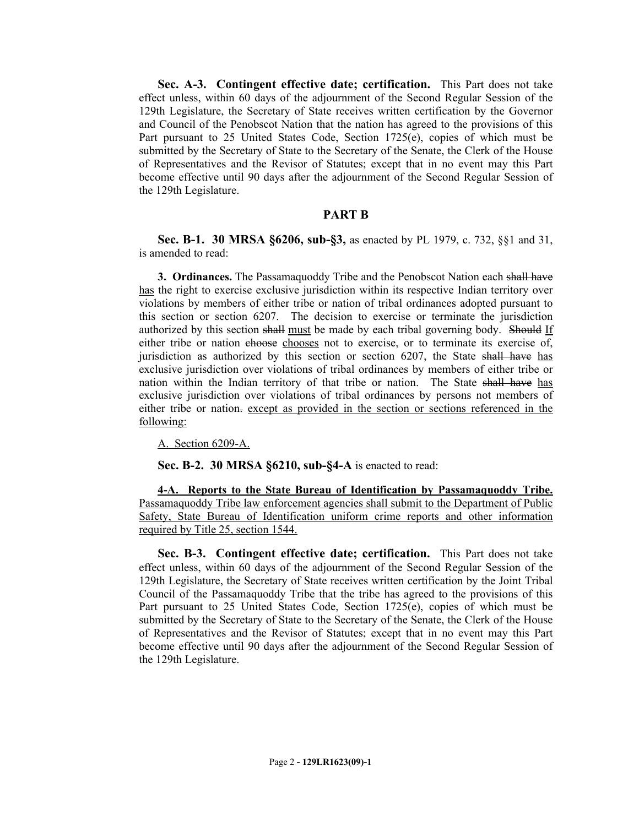**Sec. A-3. Contingent effective date; certification.** This Part does not take effect unless, within 60 days of the adjournment of the Second Regular Session of the 129th Legislature, the Secretary of State receives written certification by the Governor and Council of the Penobscot Nation that the nation has agreed to the provisions of this Part pursuant to 25 United States Code, Section 1725(e), copies of which must be submitted by the Secretary of State to the Secretary of the Senate, the Clerk of the House of Representatives and the Revisor of Statutes; except that in no event may this Part become effective until 90 days after the adjournment of the Second Regular Session of the 129th Legislature.

#### **PART B**

**Sec. B-1. 30 MRSA §6206, sub-§3,** as enacted by PL 1979, c. 732, §§1 and 31, is amended to read:

**3. Ordinances.** The Passamaquoddy Tribe and the Penobscot Nation each shall have has the right to exercise exclusive jurisdiction within its respective Indian territory over violations by members of either tribe or nation of tribal ordinances adopted pursuant to this section or section 6207. The decision to exercise or terminate the jurisdiction authorized by this section shall must be made by each tribal governing body. Should If either tribe or nation chooses chooses not to exercise, or to terminate its exercise of, jurisdiction as authorized by this section or section 6207, the State shall have has exclusive jurisdiction over violations of tribal ordinances by members of either tribe or nation within the Indian territory of that tribe or nation. The State shall have has exclusive jurisdiction over violations of tribal ordinances by persons not members of either tribe or nation-except as provided in the section or sections referenced in the following:

A. Section 6209-A.

**Sec. B-2. 30 MRSA §6210, sub-§4-A** is enacted to read:

**4-A. Reports to the State Bureau of Identification by Passamaquoddy Tribe.**  Passamaquoddy Tribe law enforcement agencies shall submit to the Department of Public Safety, State Bureau of Identification uniform crime reports and other information required by Title 25, section 1544.

**Sec. B-3. Contingent effective date; certification.** This Part does not take effect unless, within 60 days of the adjournment of the Second Regular Session of the 129th Legislature, the Secretary of State receives written certification by the Joint Tribal Council of the Passamaquoddy Tribe that the tribe has agreed to the provisions of this Part pursuant to 25 United States Code, Section 1725(e), copies of which must be submitted by the Secretary of State to the Secretary of the Senate, the Clerk of the House of Representatives and the Revisor of Statutes; except that in no event may this Part become effective until 90 days after the adjournment of the Second Regular Session of the 129th Legislature.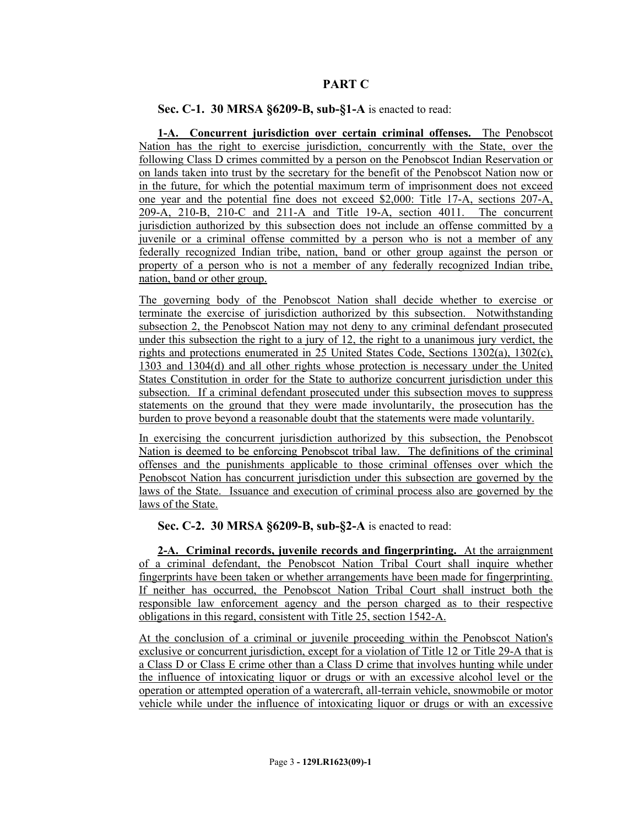## **PART C**

## **Sec. C-1. 30 MRSA §6209-B, sub-§1-A** is enacted to read:

**1-A. Concurrent jurisdiction over certain criminal offenses.** The Penobscot Nation has the right to exercise jurisdiction, concurrently with the State, over the following Class D crimes committed by a person on the Penobscot Indian Reservation or on lands taken into trust by the secretary for the benefit of the Penobscot Nation now or in the future, for which the potential maximum term of imprisonment does not exceed one year and the potential fine does not exceed \$2,000: Title 17-A, sections 207-A, 209-A, 210-B, 210-C and 211-A and Title 19-A, section 4011. The concurrent jurisdiction authorized by this subsection does not include an offense committed by a juvenile or a criminal offense committed by a person who is not a member of any federally recognized Indian tribe, nation, band or other group against the person or property of a person who is not a member of any federally recognized Indian tribe, nation, band or other group.

The governing body of the Penobscot Nation shall decide whether to exercise or terminate the exercise of jurisdiction authorized by this subsection. Notwithstanding subsection 2, the Penobscot Nation may not deny to any criminal defendant prosecuted under this subsection the right to a jury of 12, the right to a unanimous jury verdict, the rights and protections enumerated in 25 United States Code, Sections 1302(a), 1302(c), 1303 and 1304(d) and all other rights whose protection is necessary under the United States Constitution in order for the State to authorize concurrent jurisdiction under this subsection. If a criminal defendant prosecuted under this subsection moves to suppress statements on the ground that they were made involuntarily, the prosecution has the burden to prove beyond a reasonable doubt that the statements were made voluntarily.

In exercising the concurrent jurisdiction authorized by this subsection, the Penobscot Nation is deemed to be enforcing Penobscot tribal law. The definitions of the criminal offenses and the punishments applicable to those criminal offenses over which the Penobscot Nation has concurrent jurisdiction under this subsection are governed by the laws of the State. Issuance and execution of criminal process also are governed by the laws of the State.

**Sec. C-2. 30 MRSA §6209-B, sub-§2-A** is enacted to read:

**2-A. Criminal records, juvenile records and fingerprinting.** At the arraignment of a criminal defendant, the Penobscot Nation Tribal Court shall inquire whether fingerprints have been taken or whether arrangements have been made for fingerprinting. If neither has occurred, the Penobscot Nation Tribal Court shall instruct both the responsible law enforcement agency and the person charged as to their respective obligations in this regard, consistent with Title 25, section 1542-A.

At the conclusion of a criminal or juvenile proceeding within the Penobscot Nation's exclusive or concurrent jurisdiction, except for a violation of Title 12 or Title 29-A that is a Class D or Class E crime other than a Class D crime that involves hunting while under the influence of intoxicating liquor or drugs or with an excessive alcohol level or the operation or attempted operation of a watercraft, all-terrain vehicle, snowmobile or motor vehicle while under the influence of intoxicating liquor or drugs or with an excessive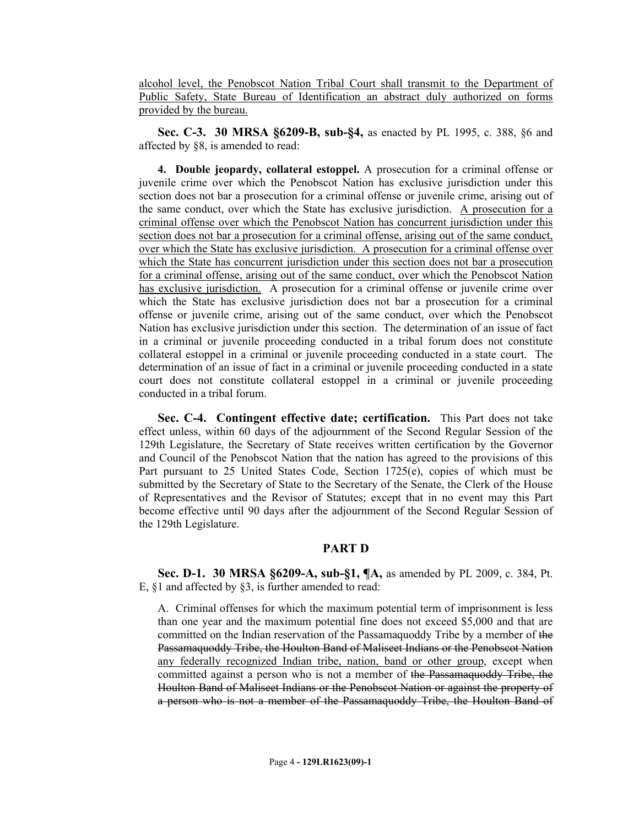alcohol level, the Penobscot Nation Tribal Court shall transmit to the Department of Public Safety, State Bureau of Identification an abstract duly authorized on forms provided by the bureau.

**Sec. C-3. 30 MRSA §6209-B, sub-§4,** as enacted by PL 1995, c. 388, §6 and affected by §8, is amended to read:

**4. Double jeopardy, collateral estoppel.** A prosecution for a criminal offense or juvenile crime over which the Penobscot Nation has exclusive jurisdiction under this section does not bar a prosecution for a criminal offense or juvenile crime, arising out of the same conduct, over which the State has exclusive jurisdiction. A prosecution for a criminal offense over which the Penobscot Nation has concurrent jurisdiction under this section does not bar a prosecution for a criminal offense, arising out of the same conduct, over which the State has exclusive jurisdiction. A prosecution for a criminal offense over which the State has concurrent jurisdiction under this section does not bar a prosecution for a criminal offense, arising out of the same conduct, over which the Penobscot Nation has exclusive jurisdiction. A prosecution for a criminal offense or juvenile crime over which the State has exclusive jurisdiction does not bar a prosecution for a criminal offense or juvenile crime, arising out of the same conduct, over which the Penobscot Nation has exclusive jurisdiction under this section. The determination of an issue of fact in a criminal or juvenile proceeding conducted in a tribal forum does not constitute collateral estoppel in a criminal or juvenile proceeding conducted in a state court. The determination of an issue of fact in a criminal or juvenile proceeding conducted in a state court does not constitute collateral estoppel in a criminal or juvenile proceeding conducted in a tribal forum.

**Sec. C-4. Contingent effective date; certification.** This Part does not take effect unless, within 60 days of the adjournment of the Second Regular Session of the 129th Legislature, the Secretary of State receives written certification by the Governor and Council of the Penobscot Nation that the nation has agreed to the provisions of this Part pursuant to 25 United States Code, Section 1725(e), copies of which must be submitted by the Secretary of State to the Secretary of the Senate, the Clerk of the House of Representatives and the Revisor of Statutes; except that in no event may this Part become effective until 90 days after the adjournment of the Second Regular Session of the 129th Legislature.

## **PART D**

**Sec. D-1. 30 MRSA §6209-A, sub-§1, ¶A,** as amended by PL 2009, c. 384, Pt. E, §1 and affected by §3, is further amended to read:

A. Criminal offenses for which the maximum potential term of imprisonment is less than one year and the maximum potential fine does not exceed \$5,000 and that are committed on the Indian reservation of the Passamaquoddy Tribe by a member of the Passamaquoddy Tribe, the Houlton Band of Maliseet Indians or the Penobscot Nation any federally recognized Indian tribe, nation, band or other group, except when committed against a person who is not a member of the Passamaquoddy Tribe, the Houlton Band of Maliseet Indians or the Penobscot Nation or against the property of a person who is not a member of the Passamaquoddy Tribe, the Houlton Band of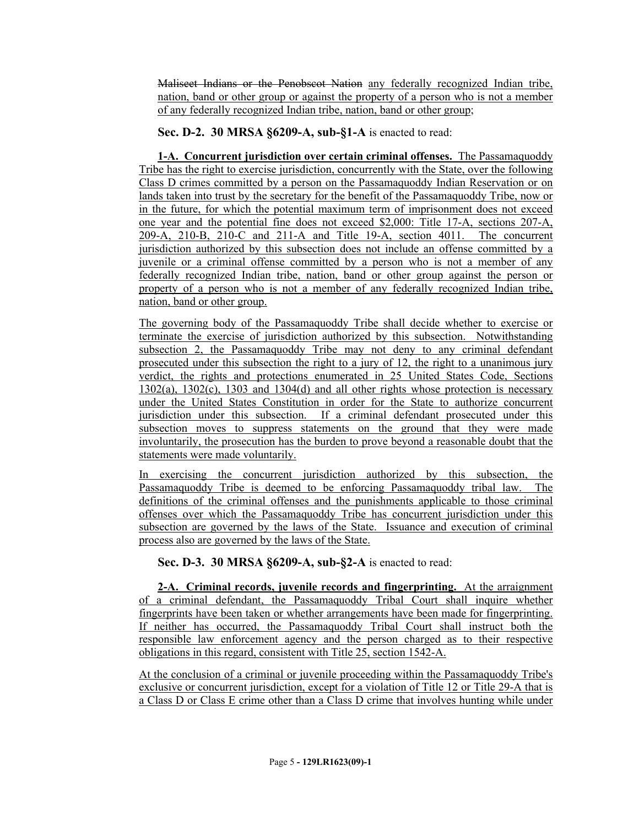Maliseet Indians or the Penobscot Nation any federally recognized Indian tribe, nation, band or other group or against the property of a person who is not a member of any federally recognized Indian tribe, nation, band or other group;

# **Sec. D-2. 30 MRSA §6209-A, sub-§1-A** is enacted to read:

**1-A. Concurrent jurisdiction over certain criminal offenses.** The Passamaquoddy Tribe has the right to exercise jurisdiction, concurrently with the State, over the following Class D crimes committed by a person on the Passamaquoddy Indian Reservation or on lands taken into trust by the secretary for the benefit of the Passamaquoddy Tribe, now or in the future, for which the potential maximum term of imprisonment does not exceed one year and the potential fine does not exceed \$2,000: Title 17-A, sections 207-A, 209-A, 210-B, 210-C and 211-A and Title 19-A, section 4011. The concurrent jurisdiction authorized by this subsection does not include an offense committed by a juvenile or a criminal offense committed by a person who is not a member of any federally recognized Indian tribe, nation, band or other group against the person or property of a person who is not a member of any federally recognized Indian tribe, nation, band or other group.

The governing body of the Passamaquoddy Tribe shall decide whether to exercise or terminate the exercise of jurisdiction authorized by this subsection. Notwithstanding subsection 2, the Passamaquoddy Tribe may not deny to any criminal defendant prosecuted under this subsection the right to a jury of 12, the right to a unanimous jury verdict, the rights and protections enumerated in 25 United States Code, Sections 1302(a), 1302(c), 1303 and 1304(d) and all other rights whose protection is necessary under the United States Constitution in order for the State to authorize concurrent jurisdiction under this subsection. If a criminal defendant prosecuted under this subsection moves to suppress statements on the ground that they were made involuntarily, the prosecution has the burden to prove beyond a reasonable doubt that the statements were made voluntarily.

In exercising the concurrent jurisdiction authorized by this subsection, the Passamaquoddy Tribe is deemed to be enforcing Passamaquoddy tribal law. The definitions of the criminal offenses and the punishments applicable to those criminal offenses over which the Passamaquoddy Tribe has concurrent jurisdiction under this subsection are governed by the laws of the State. Issuance and execution of criminal process also are governed by the laws of the State.

**Sec. D-3. 30 MRSA §6209-A, sub-§2-A** is enacted to read:

**2-A. Criminal records, juvenile records and fingerprinting.** At the arraignment of a criminal defendant, the Passamaquoddy Tribal Court shall inquire whether fingerprints have been taken or whether arrangements have been made for fingerprinting. If neither has occurred, the Passamaquoddy Tribal Court shall instruct both the responsible law enforcement agency and the person charged as to their respective obligations in this regard, consistent with Title 25, section 1542-A.

At the conclusion of a criminal or juvenile proceeding within the Passamaquoddy Tribe's exclusive or concurrent jurisdiction, except for a violation of Title 12 or Title 29-A that is a Class D or Class E crime other than a Class D crime that involves hunting while under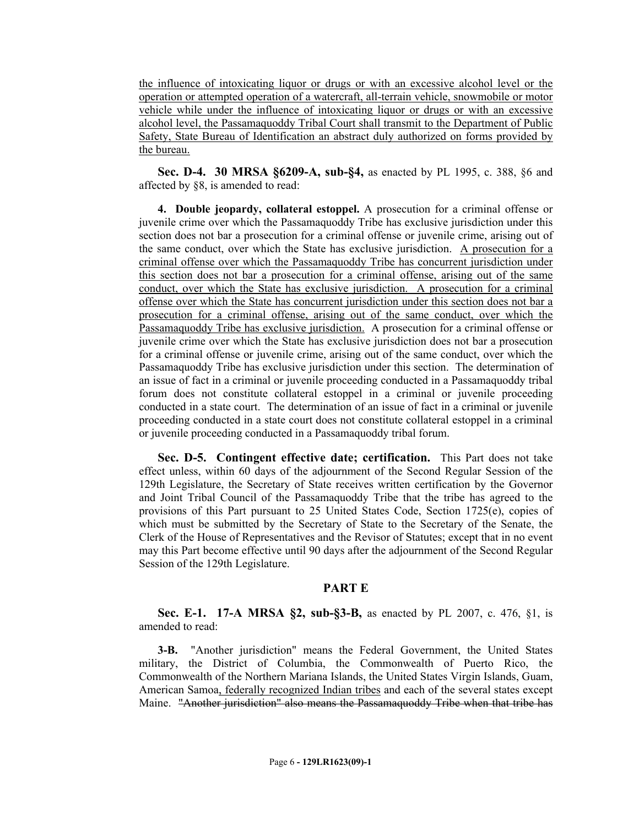the influence of intoxicating liquor or drugs or with an excessive alcohol level or the operation or attempted operation of a watercraft, all-terrain vehicle, snowmobile or motor vehicle while under the influence of intoxicating liquor or drugs or with an excessive alcohol level, the Passamaquoddy Tribal Court shall transmit to the Department of Public Safety, State Bureau of Identification an abstract duly authorized on forms provided by the bureau.

**Sec. D-4. 30 MRSA §6209-A, sub-§4,** as enacted by PL 1995, c. 388, §6 and affected by §8, is amended to read:

**4. Double jeopardy, collateral estoppel.** A prosecution for a criminal offense or juvenile crime over which the Passamaquoddy Tribe has exclusive jurisdiction under this section does not bar a prosecution for a criminal offense or juvenile crime, arising out of the same conduct, over which the State has exclusive jurisdiction. A prosecution for a criminal offense over which the Passamaquoddy Tribe has concurrent jurisdiction under this section does not bar a prosecution for a criminal offense, arising out of the same conduct, over which the State has exclusive jurisdiction. A prosecution for a criminal offense over which the State has concurrent jurisdiction under this section does not bar a prosecution for a criminal offense, arising out of the same conduct, over which the Passamaquoddy Tribe has exclusive jurisdiction. A prosecution for a criminal offense or juvenile crime over which the State has exclusive jurisdiction does not bar a prosecution for a criminal offense or juvenile crime, arising out of the same conduct, over which the Passamaquoddy Tribe has exclusive jurisdiction under this section. The determination of an issue of fact in a criminal or juvenile proceeding conducted in a Passamaquoddy tribal forum does not constitute collateral estoppel in a criminal or juvenile proceeding conducted in a state court. The determination of an issue of fact in a criminal or juvenile proceeding conducted in a state court does not constitute collateral estoppel in a criminal or juvenile proceeding conducted in a Passamaquoddy tribal forum.

**Sec. D-5. Contingent effective date; certification.** This Part does not take effect unless, within 60 days of the adjournment of the Second Regular Session of the 129th Legislature, the Secretary of State receives written certification by the Governor and Joint Tribal Council of the Passamaquoddy Tribe that the tribe has agreed to the provisions of this Part pursuant to 25 United States Code, Section 1725(e), copies of which must be submitted by the Secretary of State to the Secretary of the Senate, the Clerk of the House of Representatives and the Revisor of Statutes; except that in no event may this Part become effective until 90 days after the adjournment of the Second Regular Session of the 129th Legislature.

#### **PART E**

**Sec. E-1. 17-A MRSA §2, sub-§3-B,** as enacted by PL 2007, c. 476, §1, is amended to read:

**3-B.** "Another jurisdiction" means the Federal Government, the United States military, the District of Columbia, the Commonwealth of Puerto Rico, the Commonwealth of the Northern Mariana Islands, the United States Virgin Islands, Guam, American Samoa, federally recognized Indian tribes and each of the several states except Maine. "Another jurisdiction" also means the Passamaquoddy Tribe when that tribe has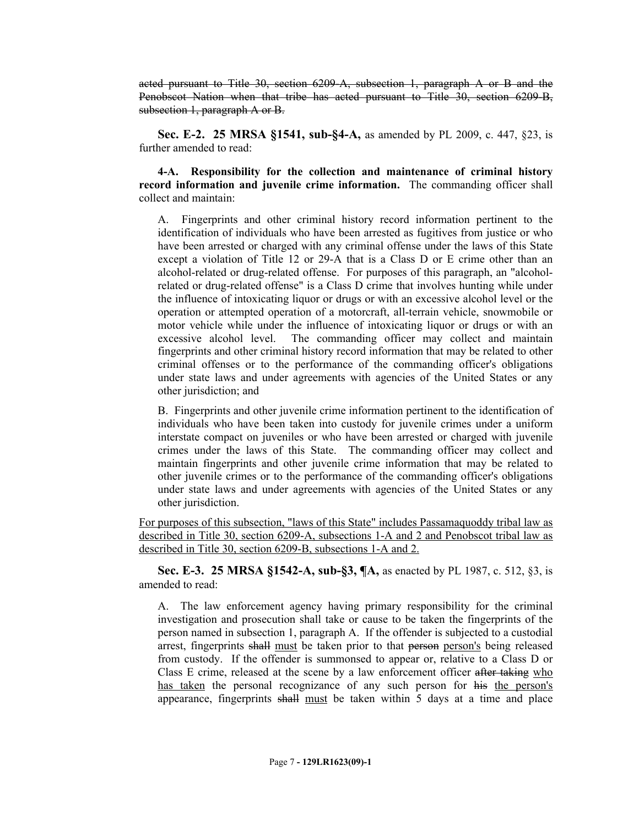acted pursuant to Title 30, section 6209-A, subsection 1, paragraph A or B and the Penobscot Nation when that tribe has acted pursuant to Title 30, section 6209-B, subsection 1, paragraph A or B.

**Sec. E-2. 25 MRSA §1541, sub-§4-A,** as amended by PL 2009, c. 447, §23, is further amended to read:

**4-A. Responsibility for the collection and maintenance of criminal history record information and juvenile crime information.** The commanding officer shall collect and maintain:

A. Fingerprints and other criminal history record information pertinent to the identification of individuals who have been arrested as fugitives from justice or who have been arrested or charged with any criminal offense under the laws of this State except a violation of Title 12 or 29-A that is a Class D or E crime other than an alcohol-related or drug-related offense. For purposes of this paragraph, an "alcoholrelated or drug-related offense" is a Class D crime that involves hunting while under the influence of intoxicating liquor or drugs or with an excessive alcohol level or the operation or attempted operation of a motorcraft, all-terrain vehicle, snowmobile or motor vehicle while under the influence of intoxicating liquor or drugs or with an excessive alcohol level. The commanding officer may collect and maintain fingerprints and other criminal history record information that may be related to other criminal offenses or to the performance of the commanding officer's obligations under state laws and under agreements with agencies of the United States or any other jurisdiction; and

B. Fingerprints and other juvenile crime information pertinent to the identification of individuals who have been taken into custody for juvenile crimes under a uniform interstate compact on juveniles or who have been arrested or charged with juvenile crimes under the laws of this State. The commanding officer may collect and maintain fingerprints and other juvenile crime information that may be related to other juvenile crimes or to the performance of the commanding officer's obligations under state laws and under agreements with agencies of the United States or any other jurisdiction.

For purposes of this subsection, "laws of this State" includes Passamaquoddy tribal law as described in Title 30, section 6209-A, subsections 1-A and 2 and Penobscot tribal law as described in Title 30, section 6209-B, subsections 1-A and 2.

**Sec. E-3. 25 MRSA §1542-A, sub-§3, ¶A,** as enacted by PL 1987, c. 512, §3, is amended to read:

A. The law enforcement agency having primary responsibility for the criminal investigation and prosecution shall take or cause to be taken the fingerprints of the person named in subsection 1, paragraph A. If the offender is subjected to a custodial arrest, fingerprints shall must be taken prior to that person person's being released from custody. If the offender is summonsed to appear or, relative to a Class D or Class E crime, released at the scene by a law enforcement officer after taking who has taken the personal recognizance of any such person for his the person's appearance, fingerprints shall must be taken within 5 days at a time and place